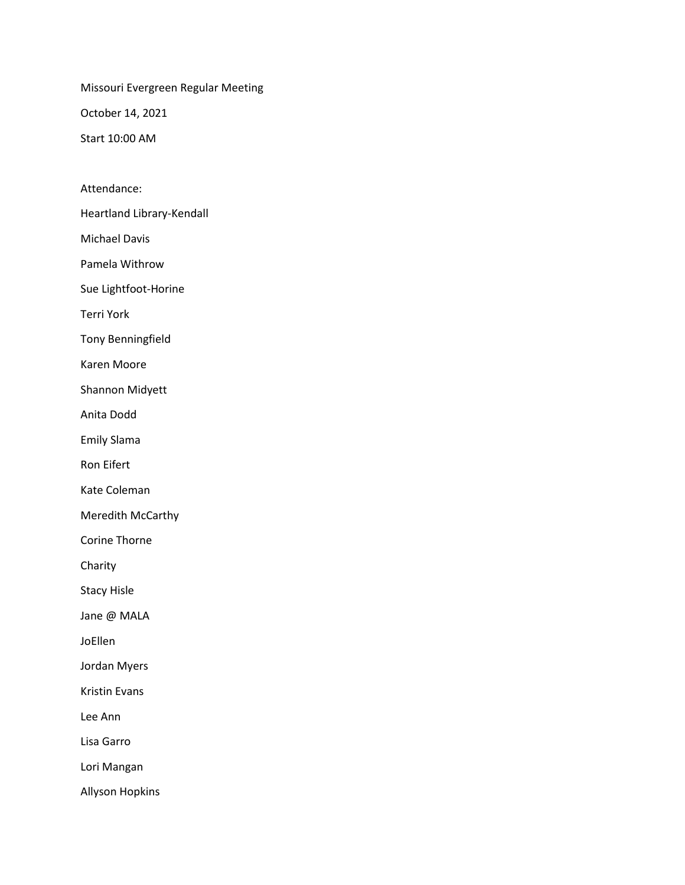Missouri Evergreen Regular Meeting

October 14, 2021

Start 10:00 AM

Attendance:

Heartland Library-Kendall

Michael Davis

Pamela Withrow

Sue Lightfoot-Horine

Terri York

Tony Benningfield

Karen Moore

Shannon Midyett

Anita Dodd

Emily Slama

Ron Eifert

Kate Coleman

Meredith McCarthy

Corine Thorne

Charity

Stacy Hisle

Jane @ MALA

JoEllen

Jordan Myers

Kristin Evans

Lee Ann

Lisa Garro

Lori Mangan

Allyson Hopkins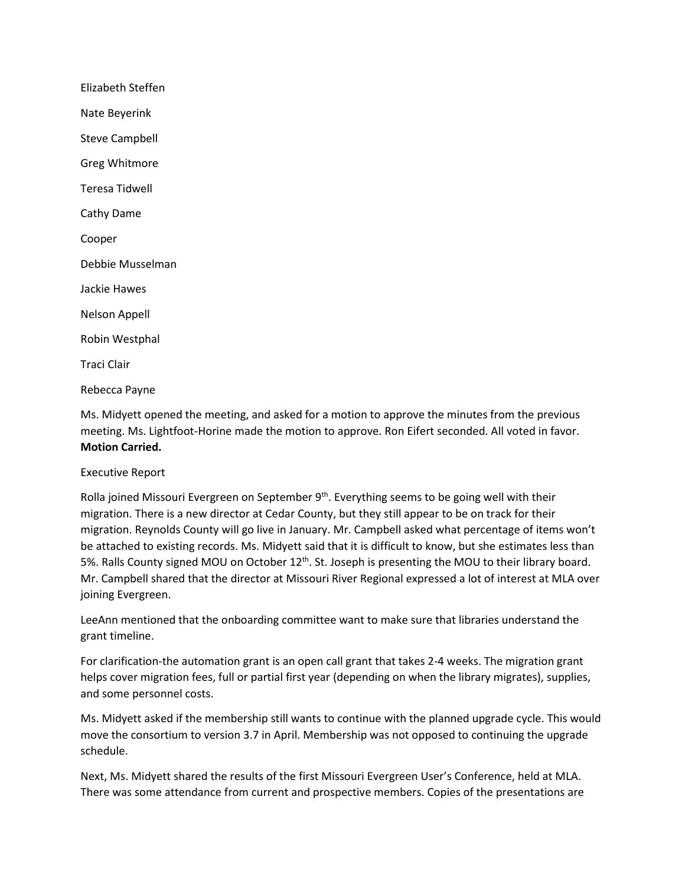| Elizabeth Steffen     |
|-----------------------|
| Nate Beyerink         |
| <b>Steve Campbell</b> |
| <b>Greg Whitmore</b>  |
| Teresa Tidwell        |
| Cathy Dame            |
| Cooper                |
| Debbie Musselman      |
| Jackie Hawes          |
| <b>Nelson Appell</b>  |
| Robin Westphal        |
| Traci Clair           |
|                       |

Rebecca Payne

Ms. Midyett opened the meeting, and asked for a motion to approve the minutes from the previous meeting. Ms. Lightfoot-Horine made the motion to approve. Ron Eifert seconded. All voted in favor. **Motion Carried.**

## Executive Report

Rolla joined Missouri Evergreen on September  $9<sup>th</sup>$ . Everything seems to be going well with their migration. There is a new director at Cedar County, but they still appear to be on track for their migration. Reynolds County will go live in January. Mr. Campbell asked what percentage of items won't be attached to existing records. Ms. Midyett said that it is difficult to know, but she estimates less than 5%. Ralls County signed MOU on October 12<sup>th</sup>. St. Joseph is presenting the MOU to their library board. Mr. Campbell shared that the director at Missouri River Regional expressed a lot of interest at MLA over joining Evergreen.

LeeAnn mentioned that the onboarding committee want to make sure that libraries understand the grant timeline.

For clarification-the automation grant is an open call grant that takes 2-4 weeks. The migration grant helps cover migration fees, full or partial first year (depending on when the library migrates), supplies, and some personnel costs.

Ms. Midyett asked if the membership still wants to continue with the planned upgrade cycle. This would move the consortium to version 3.7 in April. Membership was not opposed to continuing the upgrade schedule.

Next, Ms. Midyett shared the results of the first Missouri Evergreen User's Conference, held at MLA. There was some attendance from current and prospective members. Copies of the presentations are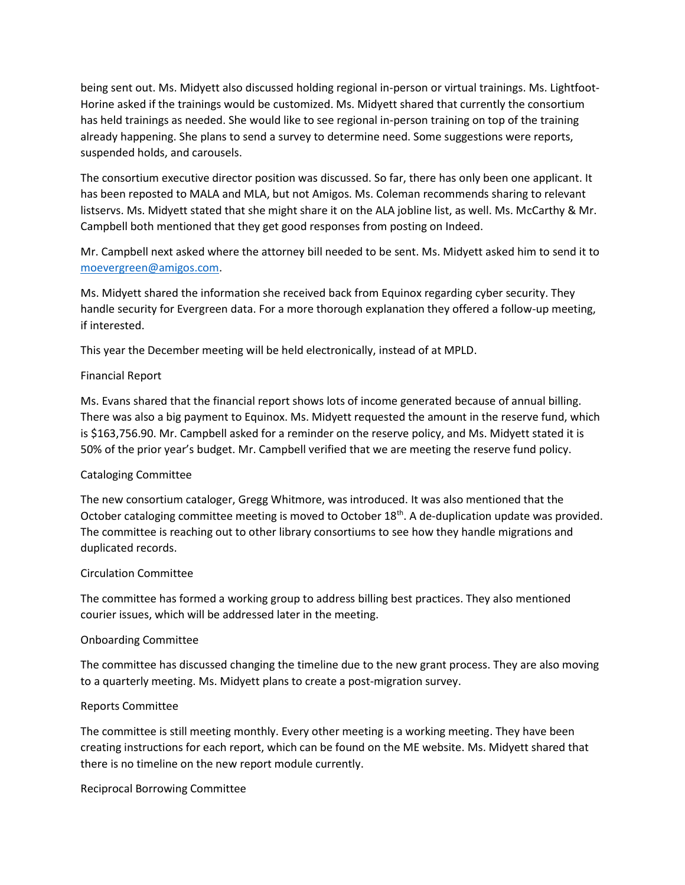being sent out. Ms. Midyett also discussed holding regional in-person or virtual trainings. Ms. Lightfoot-Horine asked if the trainings would be customized. Ms. Midyett shared that currently the consortium has held trainings as needed. She would like to see regional in-person training on top of the training already happening. She plans to send a survey to determine need. Some suggestions were reports, suspended holds, and carousels.

The consortium executive director position was discussed. So far, there has only been one applicant. It has been reposted to MALA and MLA, but not Amigos. Ms. Coleman recommends sharing to relevant listservs. Ms. Midyett stated that she might share it on the ALA jobline list, as well. Ms. McCarthy & Mr. Campbell both mentioned that they get good responses from posting on Indeed.

Mr. Campbell next asked where the attorney bill needed to be sent. Ms. Midyett asked him to send it to [moevergreen@amigos.com.](mailto:moevergreen@amigos.com)

Ms. Midyett shared the information she received back from Equinox regarding cyber security. They handle security for Evergreen data. For a more thorough explanation they offered a follow-up meeting, if interested.

This year the December meeting will be held electronically, instead of at MPLD.

## Financial Report

Ms. Evans shared that the financial report shows lots of income generated because of annual billing. There was also a big payment to Equinox. Ms. Midyett requested the amount in the reserve fund, which is \$163,756.90. Mr. Campbell asked for a reminder on the reserve policy, and Ms. Midyett stated it is 50% of the prior year's budget. Mr. Campbell verified that we are meeting the reserve fund policy.

## Cataloging Committee

The new consortium cataloger, Gregg Whitmore, was introduced. It was also mentioned that the October cataloging committee meeting is moved to October 18<sup>th</sup>. A de-duplication update was provided. The committee is reaching out to other library consortiums to see how they handle migrations and duplicated records.

#### Circulation Committee

The committee has formed a working group to address billing best practices. They also mentioned courier issues, which will be addressed later in the meeting.

#### Onboarding Committee

The committee has discussed changing the timeline due to the new grant process. They are also moving to a quarterly meeting. Ms. Midyett plans to create a post-migration survey.

#### Reports Committee

The committee is still meeting monthly. Every other meeting is a working meeting. They have been creating instructions for each report, which can be found on the ME website. Ms. Midyett shared that there is no timeline on the new report module currently.

Reciprocal Borrowing Committee